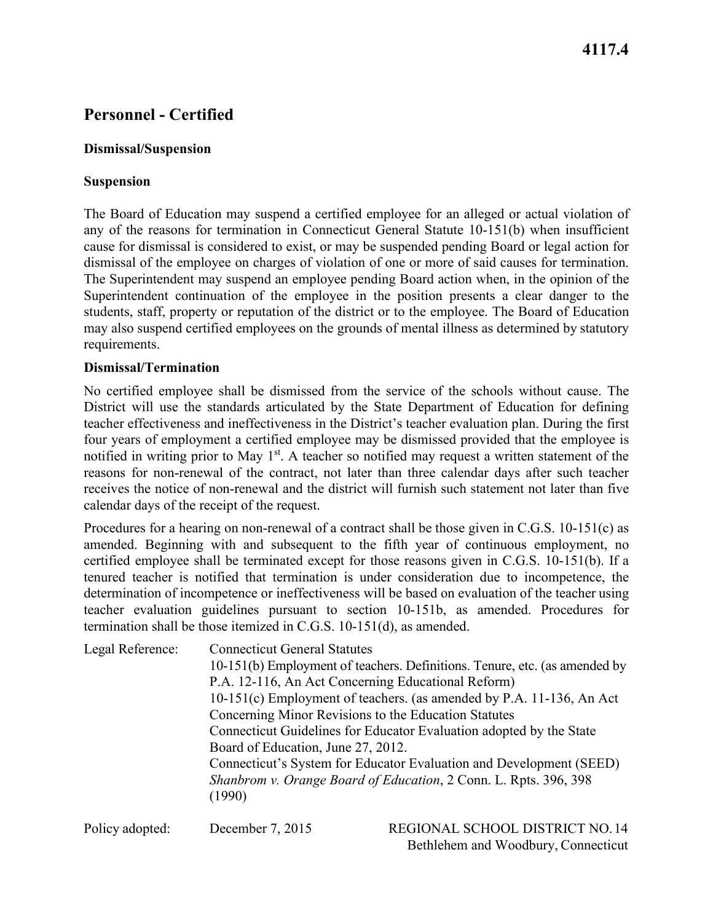## **4117.4**

# **Personnel - Certified**

### **Dismissal/Suspension**

### **Suspension**

The Board of Education may suspend a certified employee for an alleged or actual violation of any of the reasons for termination in Connecticut General Statute 10-151(b) when insufficient cause for dismissal is considered to exist, or may be suspended pending Board or legal action for dismissal of the employee on charges of violation of one or more of said causes for termination. The Superintendent may suspend an employee pending Board action when, in the opinion of the Superintendent continuation of the employee in the position presents a clear danger to the students, staff, property or reputation of the district or to the employee. The Board of Education may also suspend certified employees on the grounds of mental illness as determined by statutory requirements.

### **Dismissal/Termination**

No certified employee shall be dismissed from the service of the schools without cause. The District will use the standards articulated by the State Department of Education for defining teacher effectiveness and ineffectiveness in the District's teacher evaluation plan. During the first four years of employment a certified employee may be dismissed provided that the employee is notified in writing prior to May  $1<sup>st</sup>$ . A teacher so notified may request a written statement of the reasons for non-renewal of the contract, not later than three calendar days after such teacher receives the notice of non-renewal and the district will furnish such statement not later than five calendar days of the receipt of the request.

 Procedures for a hearing on non-renewal of a contract shall be those given in C.G.S. 10-151(c) as teacher evaluation guidelines pursuant to section 10-151b, as amended. Procedures for termination shall be those itemized in C.G.S. 10-151(d), as amended. amended. Beginning with and subsequent to the fifth year of continuous employment, no certified employee shall be terminated except for those reasons given in C.G.S. 10-151(b). If a tenured teacher is notified that termination is under consideration due to incompetence, the determination of incompetence or ineffectiveness will be based on evaluation of the teacher using

| Legal Reference: | <b>Connecticut General Statutes</b><br>10-151(b) Employment of teachers. Definitions. Tenure, etc. (as amended by<br>P.A. 12-116, An Act Concerning Educational Reform)<br>10-151(c) Employment of teachers. (as amended by P.A. 11-136, An Act<br>Concerning Minor Revisions to the Education Statutes<br>Connecticut Guidelines for Educator Evaluation adopted by the State<br>Board of Education, June 27, 2012.<br>Connecticut's System for Educator Evaluation and Development (SEED) |
|------------------|---------------------------------------------------------------------------------------------------------------------------------------------------------------------------------------------------------------------------------------------------------------------------------------------------------------------------------------------------------------------------------------------------------------------------------------------------------------------------------------------|
|                  | Shanbrom v. Orange Board of Education, 2 Conn. L. Rpts. 396, 398<br>(1990)                                                                                                                                                                                                                                                                                                                                                                                                                  |

Policy adopted: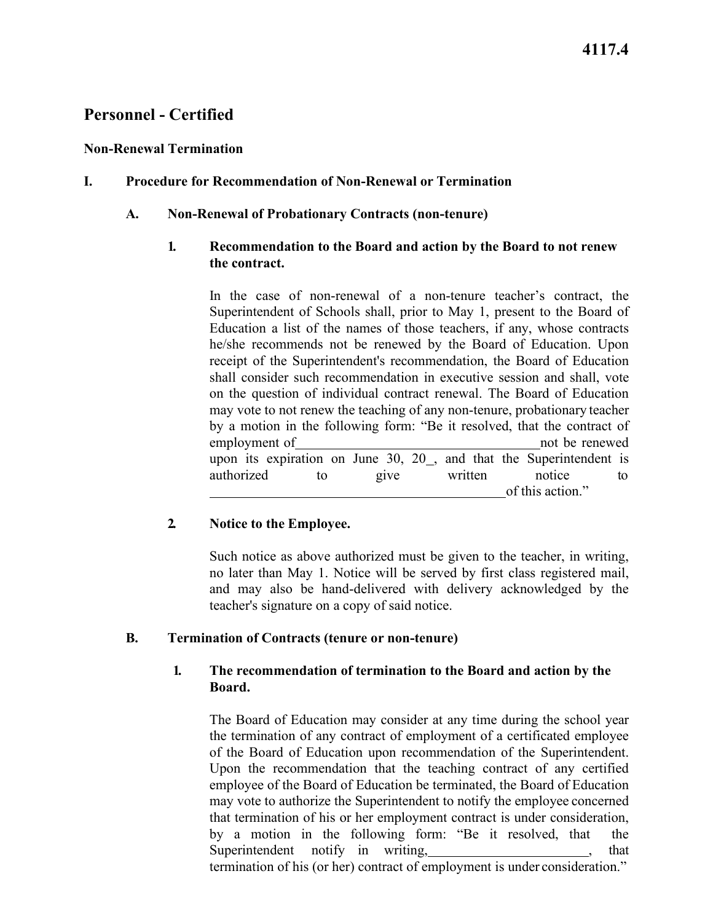#### **Non-Renewal Termination**

### **I. Procedure for Recommendation of Non-Renewal or Termination**

### **A. Non-Renewal of Probationary Contracts (non-tenure)**

### **the contract. 1. Recommendation to the Board and action by the Board to not renew**

 by a motion in the following form: "Be it resolved, that the contract of employment of not be renewed authorized to give written notice to  $\overline{a}$ In the case of non-renewal of a non-tenure teacher's contract, the Superintendent of Schools shall, prior to May 1, present to the Board of Education a list of the names of those teachers, if any, whose contracts he/she recommends not be renewed by the Board of Education. Upon receipt of the Superintendent's recommendation, the Board of Education shall consider such recommendation in executive session and shall, vote on the question of individual contract renewal. The Board of Education may vote to not renew the teaching of any non-tenure, probationary teacher upon its expiration on June  $30, 20$ , and that the Superintendent is of this action."

## **2. Notice to the Employee.**

Such notice as above authorized must be given to the teacher, in writing, no later than May 1. Notice will be served by first class registered mail, and may also be hand-delivered with delivery acknowledged by the teacher's signature on a copy of said notice.

#### **B. Termination of Contracts (tenure or non-tenure)**

### **1. The recommendation of termination to the Board and action by the Board.**

Superintendent notify in writing, 1983, 1986, 1987, 1988, 1988, 1988, 1988, 1988, 1988, 1988, 1988, 1988, 1988 The Board of Education may consider at any time during the school year the termination of any contract of employment of a certificated employee of the Board of Education upon recommendation of the Superintendent. Upon the recommendation that the teaching contract of any certified employee of the Board of Education be terminated, the Board of Education may vote to authorize the Superintendent to notify the employee concerned that termination of his or her employment contract is under consideration, by a motion in the following form: "Be it resolved, that the termination of his (or her) contract of employment is under consideration."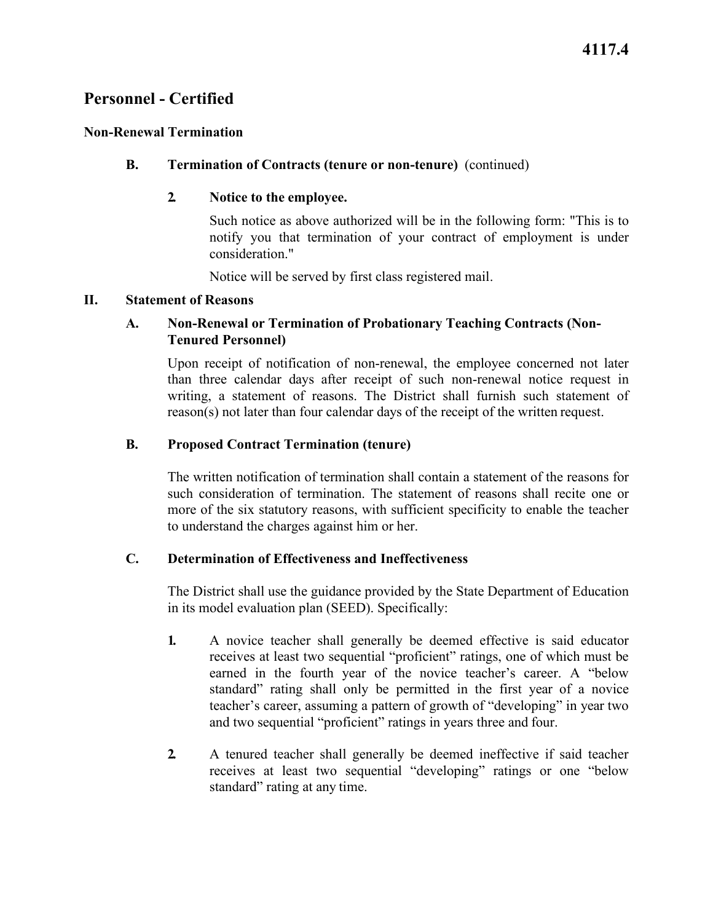### **Non-Renewal Termination**

### **B. Termination of Contracts (tenure or non-tenure)** (continued)

### **2. Notice to the employee.**

Such notice as above authorized will be in the following form: "This is to notify you that termination of your contract of employment is under consideration."

Notice will be served by first class registered mail.

#### **II. Statement of Reasons**

## **Tenured Personnel) A. Non-Renewal or Termination of Probationary Teaching Contracts (Non-**

 reason(s) not later than four calendar days of the receipt of the written request. Upon receipt of notification of non-renewal, the employee concerned not later than three calendar days after receipt of such non-renewal notice request in writing, a statement of reasons. The District shall furnish such statement of

### **B. Proposed Contract Termination (tenure)**

The written notification of termination shall contain a statement of the reasons for such consideration of termination. The statement of reasons shall recite one or more of the six statutory reasons, with sufficient specificity to enable the teacher to understand the charges against him or her.

#### **C. Determination of Effectiveness and Ineffectiveness**

 The District shall use the guidance provided by the State Department of Education in its model evaluation plan (SEED). Specifically:

- and two sequential "proficient" ratings in years three and four. **1.** A novice teacher shall generally be deemed effective is said educator receives at least two sequential "proficient" ratings, one of which must be earned in the fourth year of the novice teacher's career. A "below standard" rating shall only be permitted in the first year of a novice teacher's career, assuming a pattern of growth of "developing" in year two
- standard" rating at any time. **2.** A tenured teacher shall generally be deemed ineffective if said teacher receives at least two sequential "developing" ratings or one "below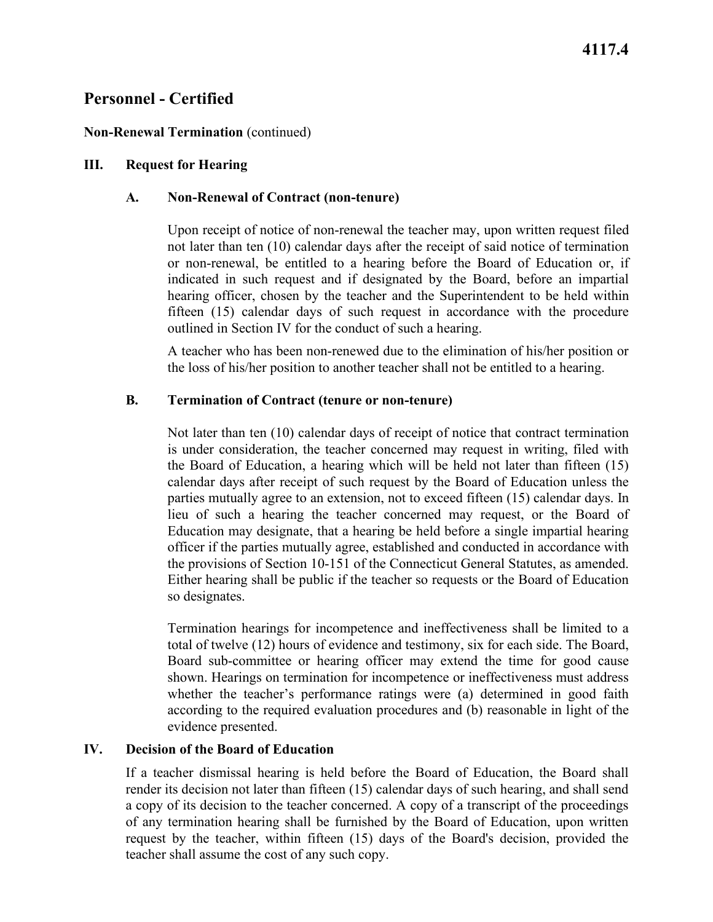### **Non-Renewal Termination** (continued)

### **III. Request for Hearing**

#### **A. Non-Renewal of Contract (non-tenure)**

Upon receipt of notice of non-renewal the teacher may, upon written request filed not later than ten (10) calendar days after the receipt of said notice of termination or non-renewal, be entitled to a hearing before the Board of Education or, if indicated in such request and if designated by the Board, before an impartial hearing officer, chosen by the teacher and the Superintendent to be held within fifteen (15) calendar days of such request in accordance with the procedure outlined in Section IV for the conduct of such a hearing.

A teacher who has been non-renewed due to the elimination of his/her position or the loss of his/her position to another teacher shall not be entitled to a hearing.

### **B. Termination of Contract (tenure or non-tenure)**

 lieu of such a hearing the teacher concerned may request, or the Board of the provisions of Section 10-151 of the Connecticut General Statutes, as amended. so designates. Not later than ten (10) calendar days of receipt of notice that contract termination is under consideration, the teacher concerned may request in writing, filed with the Board of Education, a hearing which will be held not later than fifteen (15) calendar days after receipt of such request by the Board of Education unless the parties mutually agree to an extension, not to exceed fifteen (15) calendar days. In Education may designate, that a hearing be held before a single impartial hearing officer if the parties mutually agree, established and conducted in accordance with Either hearing shall be public if the teacher so requests or the Board of Education

 according to the required evaluation procedures and (b) reasonable in light of the Termination hearings for incompetence and ineffectiveness shall be limited to a total of twelve (12) hours of evidence and testimony, six for each side. The Board, Board sub-committee or hearing officer may extend the time for good cause shown. Hearings on termination for incompetence or ineffectiveness must address whether the teacher's performance ratings were (a) determined in good faith evidence presented.

#### **IV. Decision of the Board of Education**

If a teacher dismissal hearing is held before the Board of Education, the Board shall render its decision not later than fifteen (15) calendar days of such hearing, and shall send a copy of its decision to the teacher concerned. A copy of a transcript of the proceedings of any termination hearing shall be furnished by the Board of Education, upon written request by the teacher, within fifteen (15) days of the Board's decision, provided the teacher shall assume the cost of any such copy.